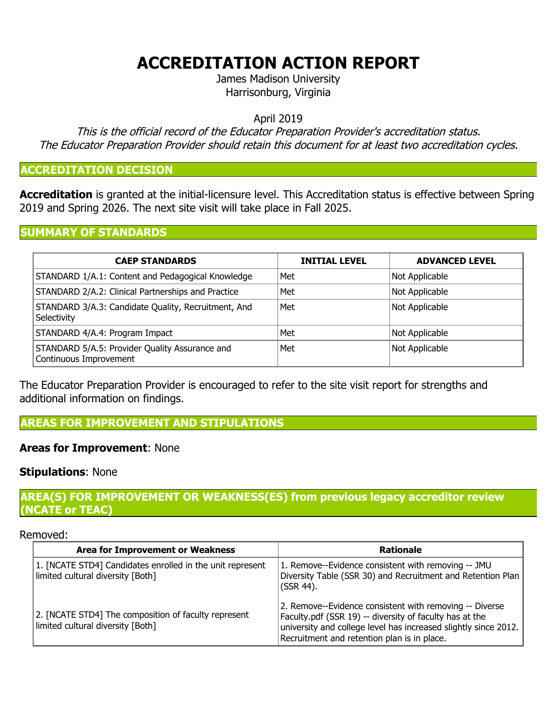# **ACCREDITATION ACTION REPORT**

James Madison University Harrisonburg, Virginia

April 2019

This is the official record of the Educator Preparation Provider's accreditation status. The Educator Preparation Provider should retain this document for at least two accreditation cycles.

## **ACCREDITATION DECISION**

**Accreditation** is granted at the initial-licensure level. This Accreditation status is effective between Spring 2019 and Spring 2026. The next site visit will take place in Fall 2025.

#### **SUMMARY OF STANDARDS**

| <b>CAEP STANDARDS</b>                                                    | <b>INITIAL LEVEL</b> | <b>ADVANCED LEVEL</b> |
|--------------------------------------------------------------------------|----------------------|-----------------------|
| STANDARD 1/A.1: Content and Pedagogical Knowledge                        | Met                  | Not Applicable        |
| STANDARD 2/A.2: Clinical Partnerships and Practice                       | Met                  | Not Applicable        |
| STANDARD 3/A.3: Candidate Quality, Recruitment, And<br>Selectivity       | Met                  | Not Applicable        |
| STANDARD 4/A.4: Program Impact                                           | Met                  | Not Applicable        |
| STANDARD 5/A.5: Provider Quality Assurance and<br>Continuous Improvement | Met                  | Not Applicable        |

The Educator Preparation Provider is encouraged to refer to the site visit report for strengths and additional information on findings.

**AREAS FOR IMPROVEMENT AND STIPULATIONS**

## **Areas for Improvement**: None

## **Stipulations**: None

# **AREA(S) FOR IMPROVEMENT OR WEAKNESS(ES) from previous legacy accreditor review (NCATE orTEAC)**

#### Removed:

| <b>Area for Improvement or Weakness</b>                                                        | <b>Rationale</b>                                                                                                                                                                                                                     |  |
|------------------------------------------------------------------------------------------------|--------------------------------------------------------------------------------------------------------------------------------------------------------------------------------------------------------------------------------------|--|
| 1. [NCATE STD4] Candidates enrolled in the unit represent<br>limited cultural diversity [Both] | 1. Remove--Evidence consistent with removing -- JMU<br>Diversity Table (SSR 30) and Recruitment and Retention Plan<br>(SSR 44).                                                                                                      |  |
| 2. [NCATE STD4] The composition of faculty represent<br>limited cultural diversity [Both]      | 2. Remove--Evidence consistent with removing -- Diverse<br>Faculty.pdf (SSR 19) -- diversity of faculty has at the<br>university and college level has increased slightly since 2012.<br>Recruitment and retention plan is in place. |  |